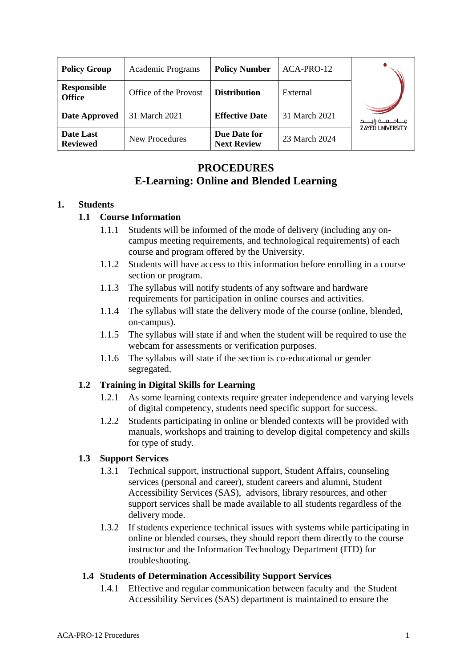| <b>Policy Group</b>                 | Academic Programs     | <b>Policy Number</b>               | ACA-PRO-12    |                         |
|-------------------------------------|-----------------------|------------------------------------|---------------|-------------------------|
| <b>Responsible</b><br><b>Office</b> | Office of the Provost | <b>Distribution</b>                | External      |                         |
| Date Approved                       | 31 March 2021         | <b>Effective Date</b>              | 31 March 2021 |                         |
| Date Last<br><b>Reviewed</b>        | New Procedures        | Due Date for<br><b>Next Review</b> | 23 March 2024 | <b>ZAYED UNIVERSITY</b> |

# **PROCEDURES E-Learning: Online and Blended Learning**

## **1. Students**

## **1.1 Course Information**

- 1.1.1 Students will be informed of the mode of delivery (including any oncampus meeting requirements, and technological requirements) of each course and program offered by the University.
- 1.1.2 Students will have access to this information before enrolling in a course section or program.
- 1.1.3 The syllabus will notify students of any software and hardware requirements for participation in online courses and activities.
- 1.1.4 The syllabus will state the delivery mode of the course (online, blended, on-campus).
- 1.1.5 The syllabus will state if and when the student will be required to use the webcam for assessments or verification purposes.
- 1.1.6 The syllabus will state if the section is co-educational or gender segregated.

## **1.2 Training in Digital Skills for Learning**

- 1.2.1 As some learning contexts require greater independence and varying levels of digital competency, students need specific support for success.
- 1.2.2 Students participating in online or blended contexts will be provided with manuals, workshops and training to develop digital competency and skills for type of study.

## **1.3 Support Services**

- 1.3.1 Technical support, instructional support, Student Affairs, counseling services (personal and career), student careers and alumni, Student Accessibility Services (SAS), advisors, library resources, and other support services shall be made available to all students regardless of the delivery mode.
- 1.3.2 If students experience technical issues with systems while participating in online or blended courses, they should report them directly to the course instructor and the Information Technology Department (ITD) for troubleshooting.

### **1.4 Students of Determination Accessibility Support Services**

1.4.1 Effective and regular communication between faculty and the Student Accessibility Services (SAS) department is maintained to ensure the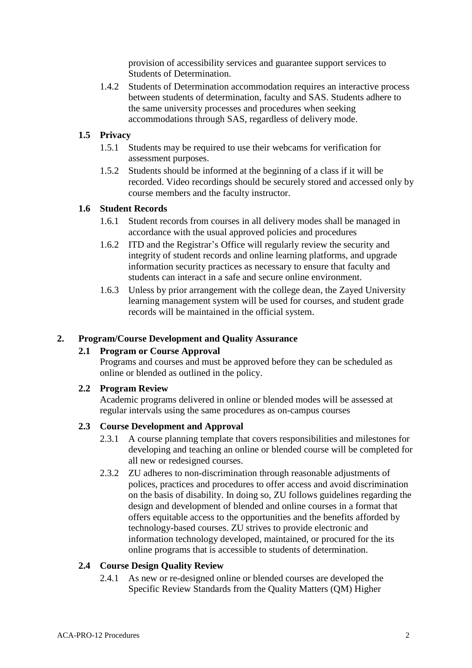provision of accessibility services and guarantee support services to Students of Determination.

1.4.2 Students of Determination accommodation requires an interactive process between students of determination, faculty and SAS. Students adhere to the same university processes and procedures when seeking accommodations through SAS, regardless of delivery mode.

## **1.5 Privacy**

- 1.5.1 Students may be required to use their webcams for verification for assessment purposes.
- 1.5.2 Students should be informed at the beginning of a class if it will be recorded. Video recordings should be securely stored and accessed only by course members and the faculty instructor.

## **1.6 Student Records**

- 1.6.1 Student records from courses in all delivery modes shall be managed in accordance with the usual approved policies and procedures
- 1.6.2 ITD and the Registrar's Office will regularly review the security and integrity of student records and online learning platforms, and upgrade information security practices as necessary to ensure that faculty and students can interact in a safe and secure online environment.
- 1.6.3 Unless by prior arrangement with the college dean, the Zayed University learning management system will be used for courses, and student grade records will be maintained in the official system.

## **2. Program/Course Development and Quality Assurance**

## **2.1 Program or Course Approval**

Programs and courses and must be approved before they can be scheduled as online or blended as outlined in the policy.

### **2.2 Program Review**

Academic programs delivered in online or blended modes will be assessed at regular intervals using the same procedures as on-campus courses

### **2.3 Course Development and Approval**

- 2.3.1 A course planning template that covers responsibilities and milestones for developing and teaching an online or blended course will be completed for all new or redesigned courses.
- 2.3.2 ZU adheres to non-discrimination through reasonable adjustments of polices, practices and procedures to offer access and avoid discrimination on the basis of disability. In doing so, ZU follows guidelines regarding the design and development of blended and online courses in a format that offers equitable access to the opportunities and the benefits afforded by technology-based courses. ZU strives to provide electronic and information technology developed, maintained, or procured for the its online programs that is accessible to students of determination.

## **2.4 Course Design Quality Review**

2.4.1 As new or re-designed online or blended courses are developed the Specific Review Standards from the Quality Matters (QM) Higher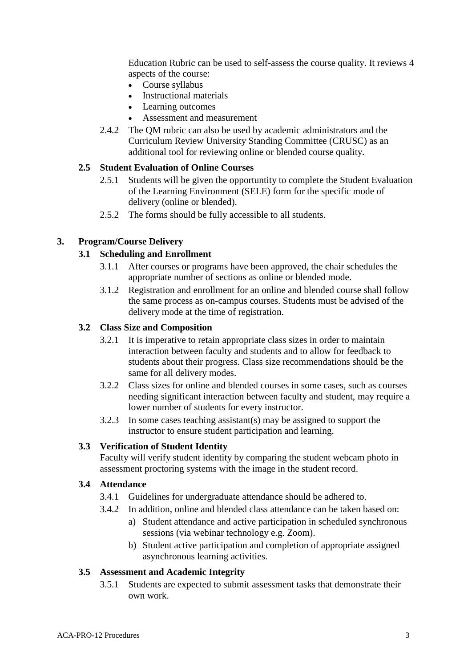Education Rubric can be used to self-assess the course quality. It reviews 4 aspects of the course:

- Course syllabus
- Instructional materials
- Learning outcomes
- Assessment and measurement
- 2.4.2 The QM rubric can also be used by academic administrators and the Curriculum Review University Standing Committee (CRUSC) as an additional tool for reviewing online or blended course quality.

## **2.5 Student Evaluation of Online Courses**

- 2.5.1 Students will be given the opportuntity to complete the Student Evaluation of the Learning Environment (SELE) form for the specific mode of delivery (online or blended).
- 2.5.2 The forms should be fully accessible to all students.

## **3. Program/Course Delivery**

## **3.1 Scheduling and Enrollment**

- 3.1.1 After courses or programs have been approved, the chair schedules the appropriate number of sections as online or blended mode.
- 3.1.2 Registration and enrollment for an online and blended course shall follow the same process as on-campus courses. Students must be advised of the delivery mode at the time of registration.

### **3.2 Class Size and Composition**

- 3.2.1 It is imperative to retain appropriate class sizes in order to maintain interaction between faculty and students and to allow for feedback to students about their progress. Class size recommendations should be the same for all delivery modes.
- 3.2.2 Class sizes for online and blended courses in some cases, such as courses needing significant interaction between faculty and student, may require a lower number of students for every instructor.
- 3.2.3 In some cases teaching assistant(s) may be assigned to support the instructor to ensure student participation and learning.

### **3.3 Verification of Student Identity**

Faculty will verify student identity by comparing the student webcam photo in assessment proctoring systems with the image in the student record.

### **3.4 Attendance**

3.4.1 Guidelines for undergraduate attendance should be adhered to.

- 3.4.2 In addition, online and blended class attendance can be taken based on:
	- a) Student attendance and active participation in scheduled synchronous sessions (via webinar technology e.g. Zoom).
	- b) Student active participation and completion of appropriate assigned asynchronous learning activities.

### **3.5 Assessment and Academic Integrity**

3.5.1 Students are expected to submit assessment tasks that demonstrate their own work.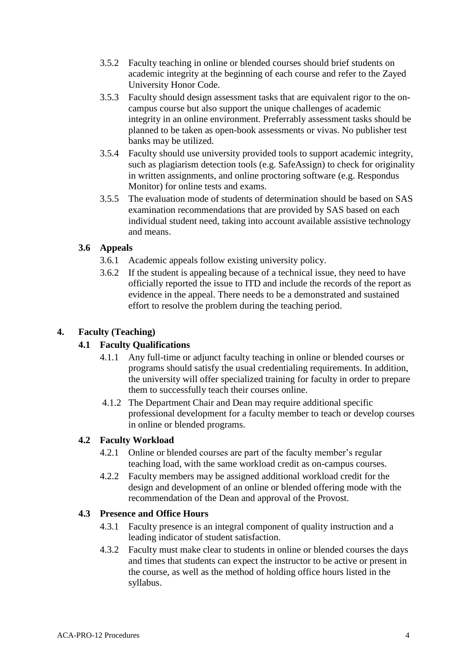- 3.5.2 Faculty teaching in online or blended courses should brief students on academic integrity at the beginning of each course and refer to the Zayed University Honor Code.
- 3.5.3 Faculty should design assessment tasks that are equivalent rigor to the oncampus course but also support the unique challenges of academic integrity in an online environment. Preferrably assessment tasks should be planned to be taken as open-book assessments or vivas. No publisher test banks may be utilized.
- 3.5.4 Faculty should use university provided tools to support academic integrity, such as plagiarism detection tools (e.g. SafeAssign) to check for originality in written assignments, and online proctoring software (e.g. Respondus Monitor) for online tests and exams.
- 3.5.5 The evaluation mode of students of determination should be based on SAS examination recommendations that are provided by SAS based on each individual student need, taking into account available assistive technology and means.

## **3.6 Appeals**

- 3.6.1 Academic appeals follow existing university policy.
- 3.6.2 If the student is appealing because of a technical issue, they need to have officially reported the issue to ITD and include the records of the report as evidence in the appeal. There needs to be a demonstrated and sustained effort to resolve the problem during the teaching period.

## **4. Faculty (Teaching)**

## **4.1 Faculty Qualifications**

- 4.1.1 Any full-time or adjunct faculty teaching in online or blended courses or programs should satisfy the usual credentialing requirements. In addition, the university will offer specialized training for faculty in order to prepare them to successfully teach their courses online.
- 4.1.2 The Department Chair and Dean may require additional specific professional development for a faculty member to teach or develop courses in online or blended programs.

## **4.2 Faculty Workload**

- 4.2.1 Online or blended courses are part of the faculty member's regular teaching load, with the same workload credit as on-campus courses.
- 4.2.2 Faculty members may be assigned additional workload credit for the design and development of an online or blended offering mode with the recommendation of the Dean and approval of the Provost.

## **4.3 Presence and Office Hours**

- 4.3.1 Faculty presence is an integral component of quality instruction and a leading indicator of student satisfaction.
- 4.3.2 Faculty must make clear to students in online or blended courses the days and times that students can expect the instructor to be active or present in the course, as well as the method of holding office hours listed in the syllabus.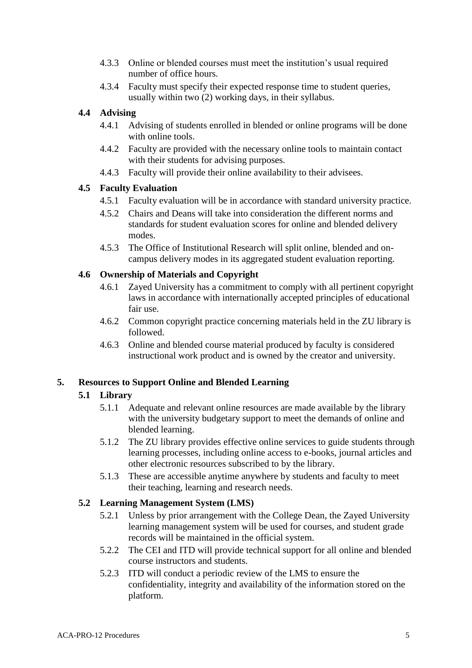- 4.3.3 Online or blended courses must meet the institution's usual required number of office hours.
- 4.3.4 Faculty must specify their expected response time to student queries, usually within two (2) working days, in their syllabus.

## **4.4 Advising**

- 4.4.1 Advising of students enrolled in blended or online programs will be done with online tools.
- 4.4.2 Faculty are provided with the necessary online tools to maintain contact with their students for advising purposes.
- 4.4.3 Faculty will provide their online availability to their advisees.

## **4.5 Faculty Evaluation**

- 4.5.1 Faculty evaluation will be in accordance with standard university practice.
- 4.5.2 Chairs and Deans will take into consideration the different norms and standards for student evaluation scores for online and blended delivery modes.
- 4.5.3 The Office of Institutional Research will split online, blended and oncampus delivery modes in its aggregated student evaluation reporting.

## **4.6 Ownership of Materials and Copyright**

- 4.6.1 Zayed University has a commitment to comply with all pertinent copyright laws in accordance with internationally accepted principles of educational fair use.
- 4.6.2 Common copyright practice concerning materials held in the ZU library is followed.
- 4.6.3 Online and blended course material produced by faculty is considered instructional work product and is owned by the creator and university.

## **5. Resources to Support Online and Blended Learning**

## **5.1 Library**

- 5.1.1 Adequate and relevant online resources are made available by the library with the university budgetary support to meet the demands of online and blended learning.
- 5.1.2 The ZU library provides effective online services to guide students through learning processes, including online access to e-books, journal articles and other electronic resources subscribed to by the library.
- 5.1.3 These are accessible anytime anywhere by students and faculty to meet their teaching, learning and research needs.

## **5.2 Learning Management System (LMS)**

- 5.2.1 Unless by prior arrangement with the College Dean, the Zayed University learning management system will be used for courses, and student grade records will be maintained in the official system.
- 5.2.2 The CEI and ITD will provide technical support for all online and blended course instructors and students.
- 5.2.3 ITD will conduct a periodic review of the LMS to ensure the confidentiality, integrity and availability of the information stored on the platform.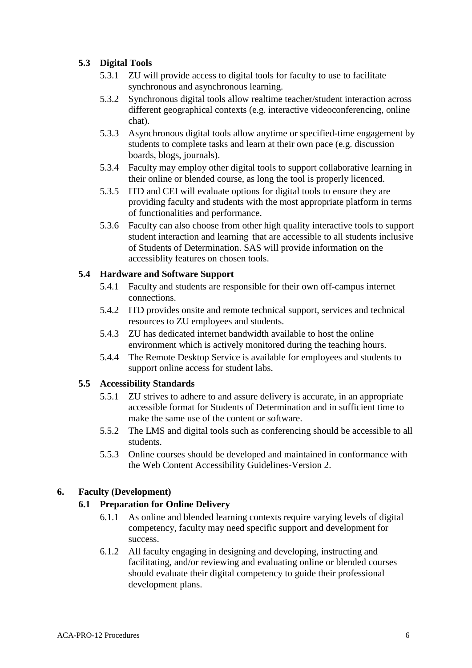## **5.3 Digital Tools**

- 5.3.1 ZU will provide access to digital tools for faculty to use to facilitate synchronous and asynchronous learning.
- 5.3.2 Synchronous digital tools allow realtime teacher/student interaction across different geographical contexts (e.g. interactive videoconferencing, online chat).
- 5.3.3 Asynchronous digital tools allow anytime or specified-time engagement by students to complete tasks and learn at their own pace (e.g. discussion boards, blogs, journals).
- 5.3.4 Faculty may employ other digital tools to support collaborative learning in their online or blended course, as long the tool is properly licenced.
- 5.3.5 ITD and CEI will evaluate options for digital tools to ensure they are providing faculty and students with the most appropriate platform in terms of functionalities and performance.
- 5.3.6 Faculty can also choose from other high quality interactive tools to support student interaction and learning that are accessible to all students inclusive of Students of Determination. SAS will provide information on the accessiblity features on chosen tools.

## **5.4 Hardware and Software Support**

- 5.4.1 Faculty and students are responsible for their own off-campus internet connections.
- 5.4.2 ITD provides onsite and remote technical support, services and technical resources to ZU employees and students.
- 5.4.3 ZU has dedicated internet bandwidth available to host the online environment which is actively monitored during the teaching hours.
- 5.4.4 The Remote Desktop Service is available for employees and students to support online access for student labs.

## **5.5 Accessibility Standards**

- 5.5.1 ZU strives to adhere to and assure delivery is accurate, in an appropriate accessible format for Students of Determination and in sufficient time to make the same use of the content or software.
- 5.5.2 The LMS and digital tools such as conferencing should be accessible to all students.
- 5.5.3 Online courses should be developed and maintained in conformance with the Web Content Accessibility Guidelines-Version 2.

## **6. Faculty (Development)**

## **6.1 Preparation for Online Delivery**

- 6.1.1 As online and blended learning contexts require varying levels of digital competency, faculty may need specific support and development for success.
- 6.1.2 All faculty engaging in designing and developing, instructing and facilitating, and/or reviewing and evaluating online or blended courses should evaluate their digital competency to guide their professional development plans.